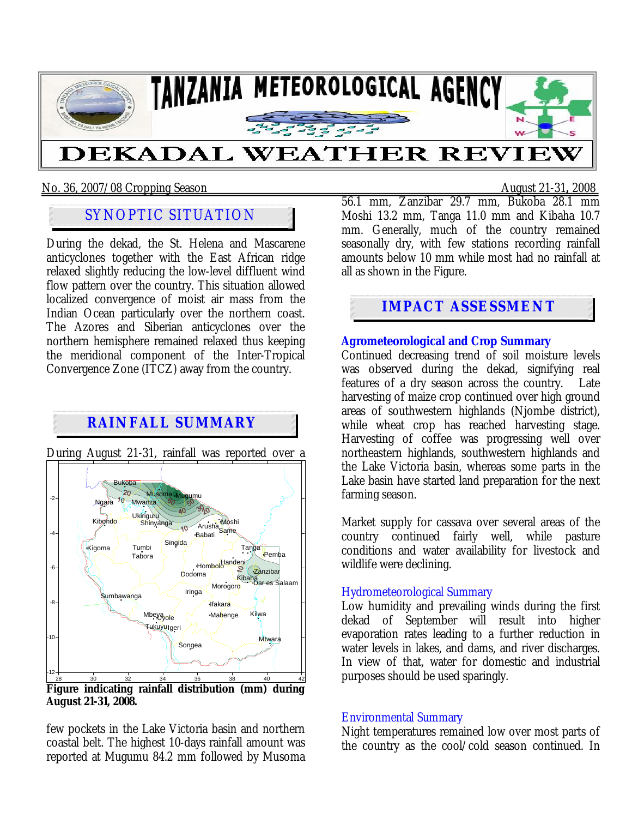

No. 36, 2007/08 Cropping Season August 21-31**,** 2008

# SYNOPTIC SITUATION

During the dekad, the St. Helena and Mascarene anticyclones together with the East African ridge relaxed slightly reducing the low-level diffluent wind flow pattern over the country. This situation allowed localized convergence of moist air mass from the Indian Ocean particularly over the northern coast. The Azores and Siberian anticyclones over the northern hemisphere remained relaxed thus keeping the meridional component of the Inter-Tropical Convergence Zone (ITCZ) away from the country.

# **RAINFALL SUMMARY**



During August 21-31, rainfall was reported over a

**Figure indicating rainfall distribution (mm) during August 21-31, 2008.** 

few pockets in the Lake Victoria basin and northern coastal belt. The highest 10-days rainfall amount was reported at Mugumu 84.2 mm followed by Musoma

56.1 mm, Zanzibar 29.7 mm, Bukoba 28.1 mm Moshi 13.2 mm, Tanga 11.0 mm and Kibaha 10.7 mm. Generally, much of the country remained seasonally dry, with few stations recording rainfall amounts below 10 mm while most had no rainfall at all as shown in the Figure.

## **IMPACT ASSESSMENT**

**Agrometeorological and Crop Summary** Continued decreasing trend of soil moisture levels was observed during the dekad, signifying real features of a dry season across the country. Late harvesting of maize crop continued over high ground areas of southwestern highlands (Njombe district), while wheat crop has reached harvesting stage. Harvesting of coffee was progressing well over northeastern highlands, southwestern highlands and the Lake Victoria basin, whereas some parts in the Lake basin have started land preparation for the next farming season.

Market supply for cassava over several areas of the country continued fairly well, while pasture conditions and water availability for livestock and wildlife were declining.

#### Hydrometeorological Summary

Low humidity and prevailing winds during the first dekad of September will result into higher evaporation rates leading to a further reduction in water levels in lakes, and dams, and river discharges. In view of that, water for domestic and industrial purposes should be used sparingly.

#### Environmental Summary

Night temperatures remained low over most parts of the country as the cool/cold season continued. In